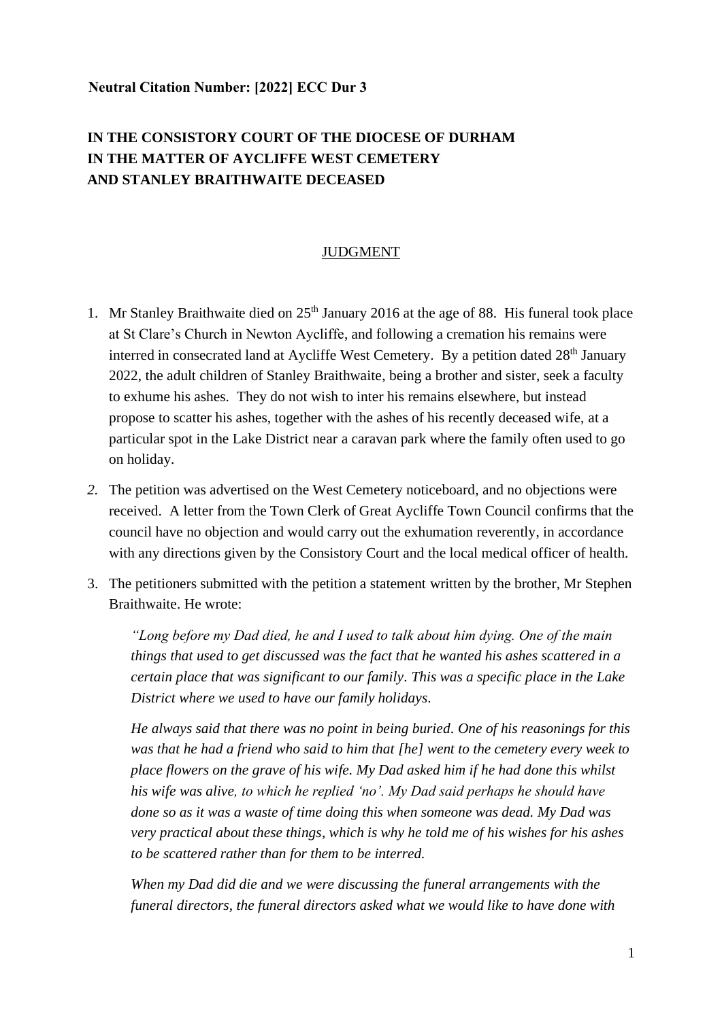## **Neutral Citation Number: [2022] ECC Dur 3**

## **IN THE CONSISTORY COURT OF THE DIOCESE OF DURHAM IN THE MATTER OF AYCLIFFE WEST CEMETERY AND STANLEY BRAITHWAITE DECEASED**

## JUDGMENT

- 1. Mr Stanley Braithwaite died on  $25<sup>th</sup>$  January 2016 at the age of 88. His funeral took place at St Clare's Church in Newton Aycliffe, and following a cremation his remains were interred in consecrated land at Aycliffe West Cemetery. By a petition dated 28<sup>th</sup> January 2022, the adult children of Stanley Braithwaite, being a brother and sister, seek a faculty to exhume his ashes. They do not wish to inter his remains elsewhere, but instead propose to scatter his ashes, together with the ashes of his recently deceased wife, at a particular spot in the Lake District near a caravan park where the family often used to go on holiday.
- *2.* The petition was advertised on the West Cemetery noticeboard, and no objections were received. A letter from the Town Clerk of Great Aycliffe Town Council confirms that the council have no objection and would carry out the exhumation reverently, in accordance with any directions given by the Consistory Court and the local medical officer of health.
- 3. The petitioners submitted with the petition a statement written by the brother, Mr Stephen Braithwaite. He wrote:

*"Long before my Dad died, he and I used to talk about him dying. One of the main things that used to get discussed was the fact that he wanted his ashes scattered in a certain place that was significant to our family. This was a specific place in the Lake District where we used to have our family holidays.*

*He always said that there was no point in being buried. One of his reasonings for this was that he had a friend who said to him that [he] went to the cemetery every week to place flowers on the grave of his wife. My Dad asked him if he had done this whilst his wife was alive, to which he replied 'no'. My Dad said perhaps he should have done so as it was a waste of time doing this when someone was dead. My Dad was very practical about these things, which is why he told me of his wishes for his ashes to be scattered rather than for them to be interred.*

*When my Dad did die and we were discussing the funeral arrangements with the funeral directors, the funeral directors asked what we would like to have done with*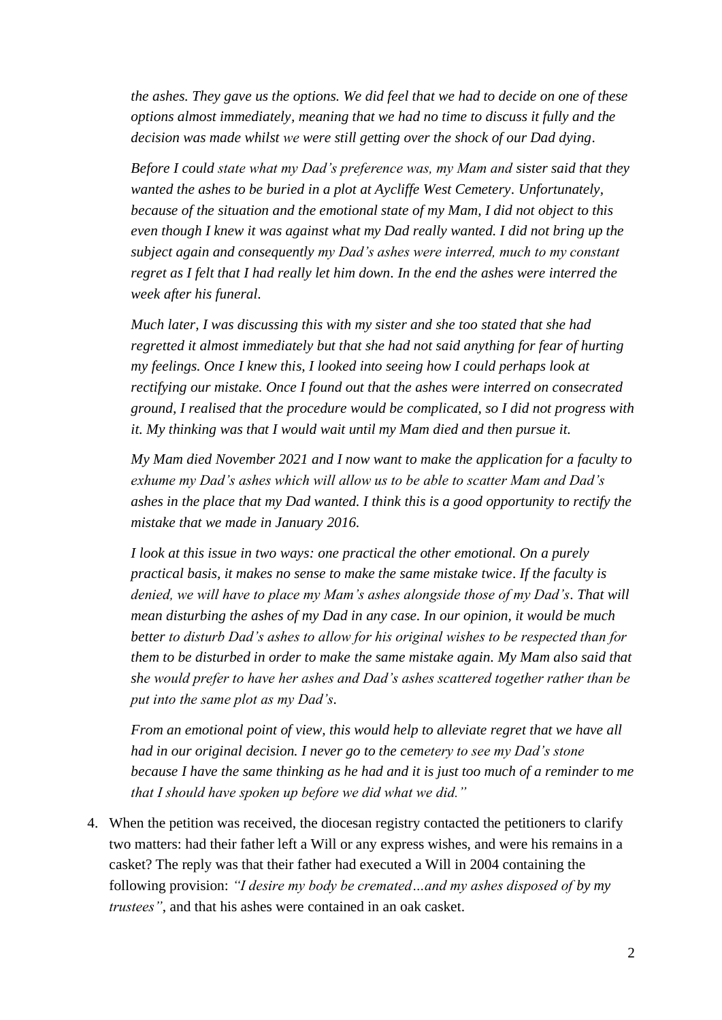*the ashes. They gave us the options. We did feel that we had to decide on one of these options almost immediately, meaning that we had no time to discuss it fully and the decision was made whilst we were still getting over the shock of our Dad dying.* 

*Before I could state what my Dad's preference was, my Mam and sister said that they wanted the ashes to be buried in a plot at Aycliffe West Cemetery. Unfortunately, because of the situation and the emotional state of my Mam, I did not object to this even though I knew it was against what my Dad really wanted. I did not bring up the subject again and consequently my Dad's ashes were interred, much to my constant regret as I felt that I had really let him down. In the end the ashes were interred the week after his funeral.*

*Much later, I was discussing this with my sister and she too stated that she had regretted it almost immediately but that she had not said anything for fear of hurting my feelings. Once I knew this, I looked into seeing how I could perhaps look at rectifying our mistake. Once I found out that the ashes were interred on consecrated ground, I realised that the procedure would be complicated, so I did not progress with it. My thinking was that I would wait until my Mam died and then pursue it.*

*My Mam died November 2021 and I now want to make the application for a faculty to exhume my Dad's ashes which will allow us to be able to scatter Mam and Dad's ashes in the place that my Dad wanted. I think this is a good opportunity to rectify the mistake that we made in January 2016.*

*I look at this issue in two ways: one practical the other emotional. On a purely practical basis, it makes no sense to make the same mistake twice. If the faculty is denied, we will have to place my Mam's ashes alongside those of my Dad's. That will mean disturbing the ashes of my Dad in any case. In our opinion, it would be much better to disturb Dad's ashes to allow for his original wishes to be respected than for them to be disturbed in order to make the same mistake again. My Mam also said that she would prefer to have her ashes and Dad's ashes scattered together rather than be put into the same plot as my Dad's.*

*From an emotional point of view, this would help to alleviate regret that we have all had in our original decision. I never go to the cemetery to see my Dad's stone because I have the same thinking as he had and it is just too much of a reminder to me that I should have spoken up before we did what we did."*

4. When the petition was received, the diocesan registry contacted the petitioners to clarify two matters: had their father left a Will or any express wishes, and were his remains in a casket? The reply was that their father had executed a Will in 2004 containing the following provision: *"I desire my body be cremated…and my ashes disposed of by my trustees"*, and that his ashes were contained in an oak casket.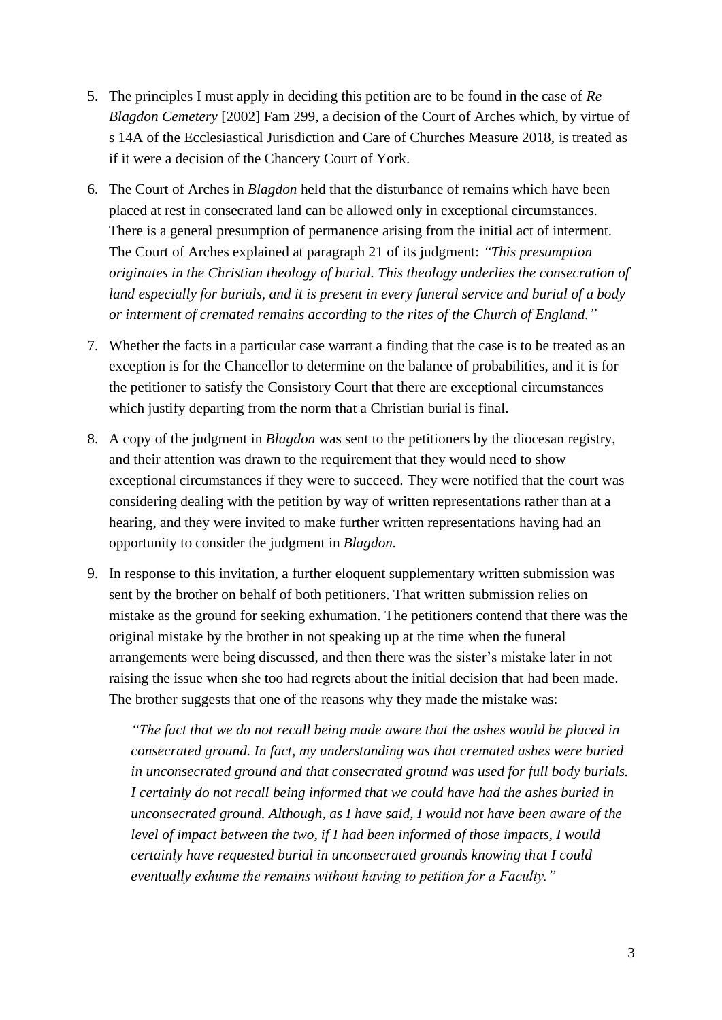- 5. The principles I must apply in deciding this petition are to be found in the case of *Re Blagdon Cemetery* [2002] Fam 299, a decision of the Court of Arches which, by virtue of s 14A of the Ecclesiastical Jurisdiction and Care of Churches Measure 2018, is treated as if it were a decision of the Chancery Court of York.
- 6. The Court of Arches in *Blagdon* held that the disturbance of remains which have been placed at rest in consecrated land can be allowed only in exceptional circumstances. There is a general presumption of permanence arising from the initial act of interment. The Court of Arches explained at paragraph 21 of its judgment: *"This presumption originates in the Christian theology of burial. This theology underlies the consecration of land especially for burials, and it is present in every funeral service and burial of a body or interment of cremated remains according to the rites of the Church of England."*
- 7. Whether the facts in a particular case warrant a finding that the case is to be treated as an exception is for the Chancellor to determine on the balance of probabilities, and it is for the petitioner to satisfy the Consistory Court that there are exceptional circumstances which justify departing from the norm that a Christian burial is final.
- 8. A copy of the judgment in *Blagdon* was sent to the petitioners by the diocesan registry, and their attention was drawn to the requirement that they would need to show exceptional circumstances if they were to succeed. They were notified that the court was considering dealing with the petition by way of written representations rather than at a hearing, and they were invited to make further written representations having had an opportunity to consider the judgment in *Blagdon.*
- 9. In response to this invitation, a further eloquent supplementary written submission was sent by the brother on behalf of both petitioners. That written submission relies on mistake as the ground for seeking exhumation. The petitioners contend that there was the original mistake by the brother in not speaking up at the time when the funeral arrangements were being discussed, and then there was the sister's mistake later in not raising the issue when she too had regrets about the initial decision that had been made. The brother suggests that one of the reasons why they made the mistake was:

*"The fact that we do not recall being made aware that the ashes would be placed in consecrated ground. In fact, my understanding was that cremated ashes were buried in unconsecrated ground and that consecrated ground was used for full body burials. I certainly do not recall being informed that we could have had the ashes buried in unconsecrated ground. Although, as I have said, I would not have been aware of the level of impact between the two, if I had been informed of those impacts, I would certainly have requested burial in unconsecrated grounds knowing that I could eventually exhume the remains without having to petition for a Faculty."*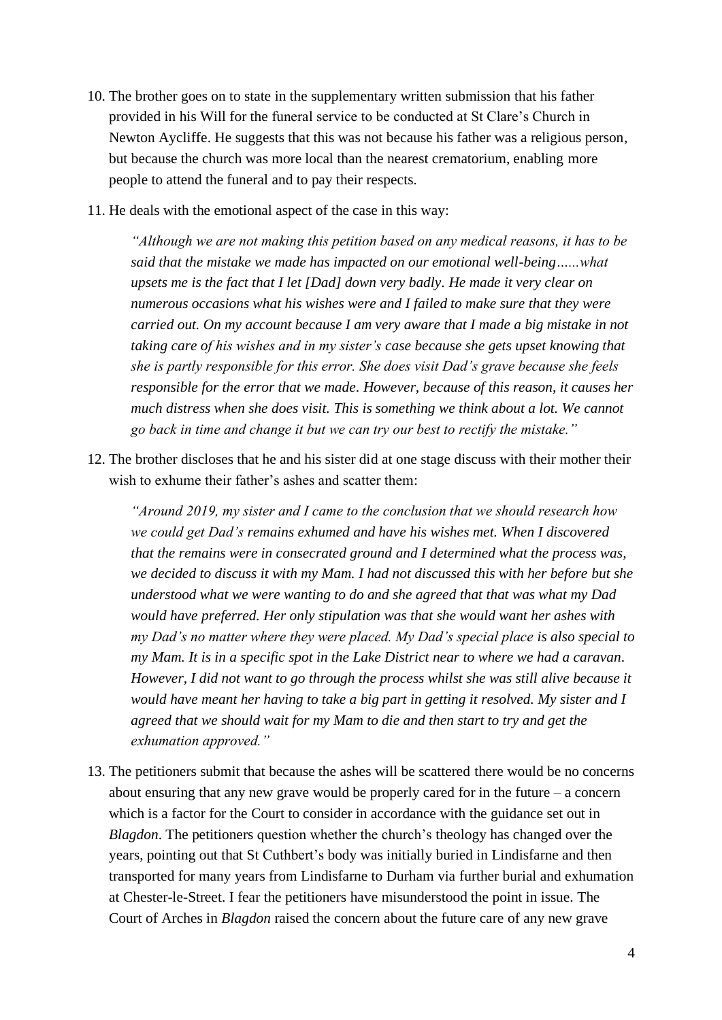- 10. The brother goes on to state in the supplementary written submission that his father provided in his Will for the funeral service to be conducted at St Clare's Church in Newton Aycliffe. He suggests that this was not because his father was a religious person, but because the church was more local than the nearest crematorium, enabling more people to attend the funeral and to pay their respects.
- 11. He deals with the emotional aspect of the case in this way:

*"Although we are not making this petition based on any medical reasons, it has to be said that the mistake we made has impacted on our emotional well-being…...what upsets me is the fact that I let [Dad] down very badly. He made it very clear on numerous occasions what his wishes were and I failed to make sure that they were carried out. On my account because I am very aware that I made a big mistake in not taking care of his wishes and in my sister's case because she gets upset knowing that she is partly responsible for this error. She does visit Dad's grave because she feels responsible for the error that we made. However, because of this reason, it causes her much distress when she does visit. This is something we think about a lot. We cannot go back in time and change it but we can try our best to rectify the mistake."*

12. The brother discloses that he and his sister did at one stage discuss with their mother their wish to exhume their father's ashes and scatter them:

*"Around 2019, my sister and I came to the conclusion that we should research how we could get Dad's remains exhumed and have his wishes met. When I discovered that the remains were in consecrated ground and I determined what the process was, we decided to discuss it with my Mam. I had not discussed this with her before but she understood what we were wanting to do and she agreed that that was what my Dad would have preferred. Her only stipulation was that she would want her ashes with my Dad's no matter where they were placed. My Dad's special place is also special to my Mam. It is in a specific spot in the Lake District near to where we had a caravan. However, I did not want to go through the process whilst she was still alive because it would have meant her having to take a big part in getting it resolved. My sister and I agreed that we should wait for my Mam to die and then start to try and get the exhumation approved."*

13. The petitioners submit that because the ashes will be scattered there would be no concerns about ensuring that any new grave would be properly cared for in the future – a concern which is a factor for the Court to consider in accordance with the guidance set out in *Blagdon*. The petitioners question whether the church's theology has changed over the years, pointing out that St Cuthbert's body was initially buried in Lindisfarne and then transported for many years from Lindisfarne to Durham via further burial and exhumation at Chester-le-Street. I fear the petitioners have misunderstood the point in issue. The Court of Arches in *Blagdon* raised the concern about the future care of any new grave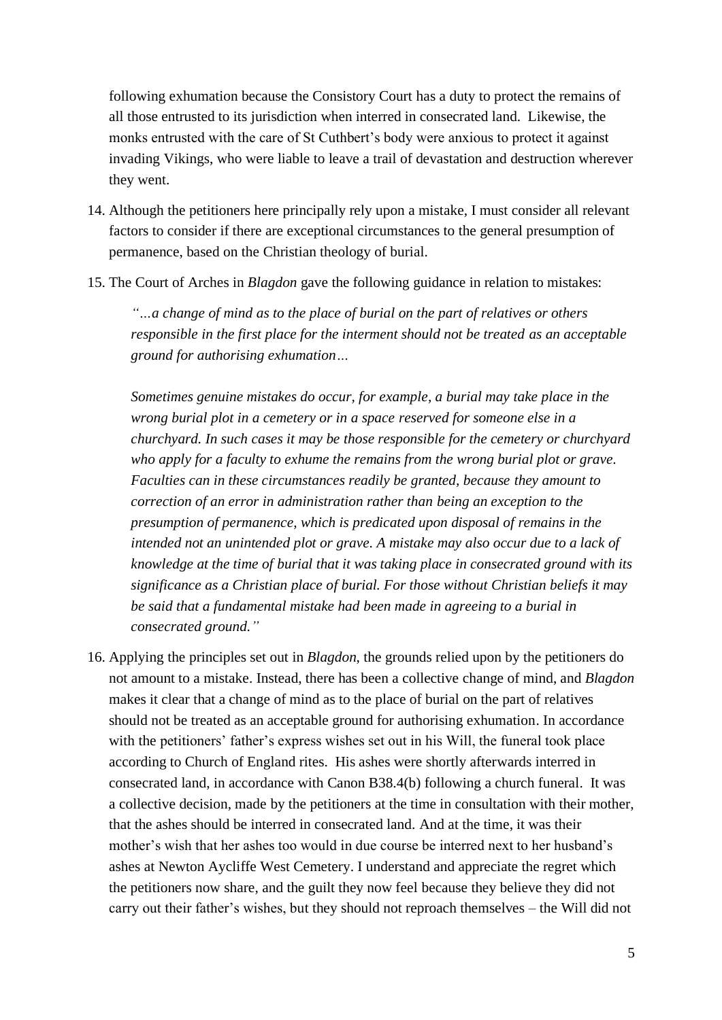following exhumation because the Consistory Court has a duty to protect the remains of all those entrusted to its jurisdiction when interred in consecrated land. Likewise, the monks entrusted with the care of St Cuthbert's body were anxious to protect it against invading Vikings, who were liable to leave a trail of devastation and destruction wherever they went.

- 14. Although the petitioners here principally rely upon a mistake, I must consider all relevant factors to consider if there are exceptional circumstances to the general presumption of permanence, based on the Christian theology of burial.
- 15. The Court of Arches in *Blagdon* gave the following guidance in relation to mistakes:

*"…a change of mind as to the place of burial on the part of relatives or others responsible in the first place for the interment should not be treated as an acceptable ground for authorising exhumation…*

*Sometimes genuine mistakes do occur, for example, a burial may take place in the wrong burial plot in a cemetery or in a space reserved for someone else in a churchyard. In such cases it may be those responsible for the cemetery or churchyard who apply for a faculty to exhume the remains from the wrong burial plot or grave. Faculties can in these circumstances readily be granted, because they amount to correction of an error in administration rather than being an exception to the presumption of permanence, which is predicated upon disposal of remains in the intended not an unintended plot or grave. A mistake may also occur due to a lack of knowledge at the time of burial that it was taking place in consecrated ground with its significance as a Christian place of burial. For those without Christian beliefs it may be said that a fundamental mistake had been made in agreeing to a burial in consecrated ground."*

16. Applying the principles set out in *Blagdon*, the grounds relied upon by the petitioners do not amount to a mistake. Instead, there has been a collective change of mind, and *Blagdon*  makes it clear that a change of mind as to the place of burial on the part of relatives should not be treated as an acceptable ground for authorising exhumation. In accordance with the petitioners' father's express wishes set out in his Will, the funeral took place according to Church of England rites. His ashes were shortly afterwards interred in consecrated land, in accordance with Canon B38.4(b) following a church funeral. It was a collective decision, made by the petitioners at the time in consultation with their mother, that the ashes should be interred in consecrated land. And at the time, it was their mother's wish that her ashes too would in due course be interred next to her husband's ashes at Newton Aycliffe West Cemetery. I understand and appreciate the regret which the petitioners now share, and the guilt they now feel because they believe they did not carry out their father's wishes, but they should not reproach themselves – the Will did not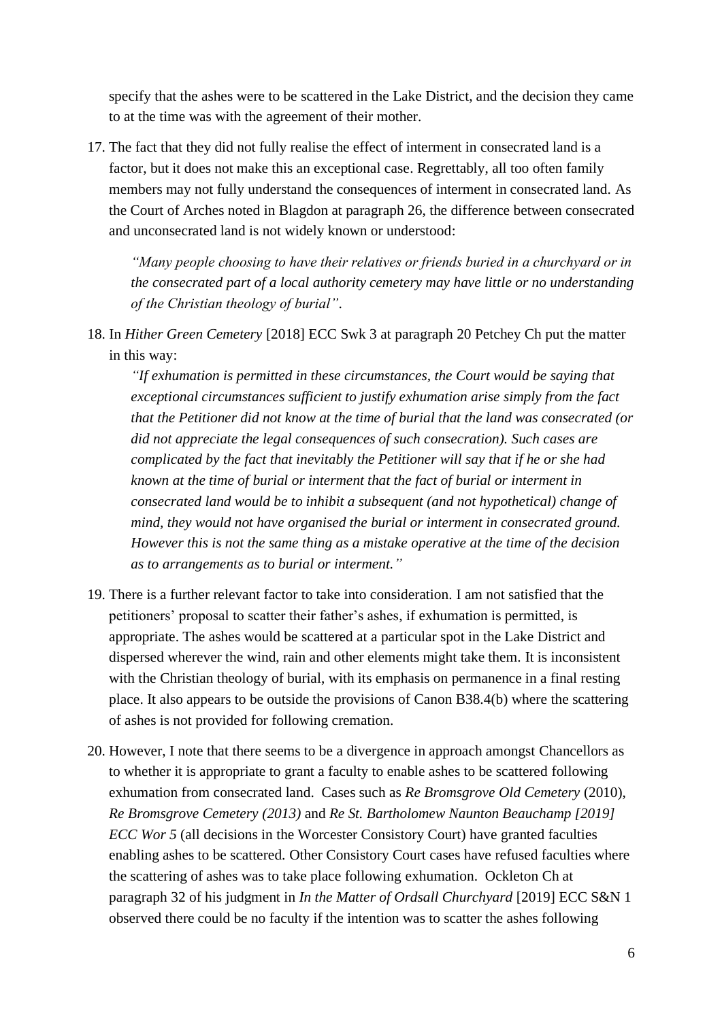specify that the ashes were to be scattered in the Lake District, and the decision they came to at the time was with the agreement of their mother.

17. The fact that they did not fully realise the effect of interment in consecrated land is a factor, but it does not make this an exceptional case. Regrettably, all too often family members may not fully understand the consequences of interment in consecrated land. As the Court of Arches noted in Blagdon at paragraph 26, the difference between consecrated and unconsecrated land is not widely known or understood:

*"Many people choosing to have their relatives or friends buried in a churchyard or in the consecrated part of a local authority cemetery may have little or no understanding of the Christian theology of burial"*.

18. In *Hither Green Cemetery* [2018] ECC Swk 3 at paragraph 20 Petchey Ch put the matter in this way:

*"If exhumation is permitted in these circumstances, the Court would be saying that exceptional circumstances sufficient to justify exhumation arise simply from the fact that the Petitioner did not know at the time of burial that the land was consecrated (or did not appreciate the legal consequences of such consecration). Such cases are complicated by the fact that inevitably the Petitioner will say that if he or she had known at the time of burial or interment that the fact of burial or interment in consecrated land would be to inhibit a subsequent (and not hypothetical) change of mind, they would not have organised the burial or interment in consecrated ground. However this is not the same thing as a mistake operative at the time of the decision as to arrangements as to burial or interment."*

- 19. There is a further relevant factor to take into consideration. I am not satisfied that the petitioners' proposal to scatter their father's ashes, if exhumation is permitted, is appropriate. The ashes would be scattered at a particular spot in the Lake District and dispersed wherever the wind, rain and other elements might take them. It is inconsistent with the Christian theology of burial, with its emphasis on permanence in a final resting place. It also appears to be outside the provisions of Canon B38.4(b) where the scattering of ashes is not provided for following cremation.
- 20. However, I note that there seems to be a divergence in approach amongst Chancellors as to whether it is appropriate to grant a faculty to enable ashes to be scattered following exhumation from consecrated land. Cases such as *[Re Bromsgrove Old Cemetery](https://www.ecclesiasticallawassociation.org.uk/index.php/judgements/menu-exhumations/re-bromsgrove-old-cemetery-2010-charles-mynors-ch-worcester/download)* (2010), *[Re Bromsgrove Cemetery \(2013\)](https://www.ecclesiasticallawassociation.org.uk/index.php/judgements/menu-exhumations/re-bromsgrove-old-cemetery-2010-charles-mynors-ch-worcester/download)* and *[Re St. Bartholomew Naunton Beauchamp \[2019\]](https://www.ecclesiasticallawassociation.org.uk/index.php/judgements/menu-exhumations/re-st-bartholomew-naunton-beauchamp-2019-ecc-wor-5/download)  [ECC Wor 5](https://www.ecclesiasticallawassociation.org.uk/index.php/judgements/menu-exhumations/re-st-bartholomew-naunton-beauchamp-2019-ecc-wor-5/download)* (all decisions in the Worcester Consistory Court) have granted faculties enabling ashes to be scattered. Other Consistory Court cases have refused faculties where the scattering of ashes was to take place following exhumation. Ockleton Ch at paragraph 32 of his judgment in *In the Matter of Ordsall Churchyard* [2019] ECC S&N 1 observed there could be no faculty if the intention was to scatter the ashes following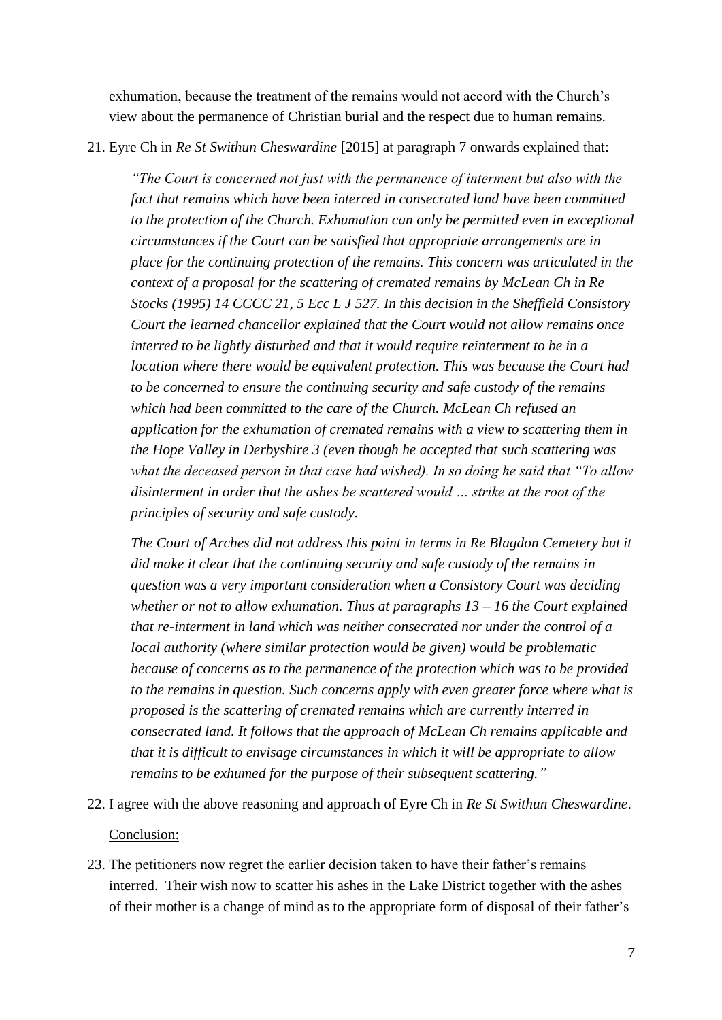exhumation, because the treatment of the remains would not accord with the Church's view about the permanence of Christian burial and the respect due to human remains.

## 21. Eyre Ch in *Re St Swithun Cheswardine* [2015] at paragraph 7 onwards explained that:

*"The Court is concerned not just with the permanence of interment but also with the fact that remains which have been interred in consecrated land have been committed to the protection of the Church. Exhumation can only be permitted even in exceptional circumstances if the Court can be satisfied that appropriate arrangements are in place for the continuing protection of the remains. This concern was articulated in the context of a proposal for the scattering of cremated remains by McLean Ch in Re Stocks (1995) 14 CCCC 21, 5 Ecc L J 527. In this decision in the Sheffield Consistory Court the learned chancellor explained that the Court would not allow remains once interred to be lightly disturbed and that it would require reinterment to be in a location where there would be equivalent protection. This was because the Court had to be concerned to ensure the continuing security and safe custody of the remains which had been committed to the care of the Church. McLean Ch refused an application for the exhumation of cremated remains with a view to scattering them in the Hope Valley in Derbyshire 3 (even though he accepted that such scattering was what the deceased person in that case had wished). In so doing he said that "To allow disinterment in order that the ashes be scattered would … strike at the root of the principles of security and safe custody.*

*The Court of Arches did not address this point in terms in Re Blagdon Cemetery but it did make it clear that the continuing security and safe custody of the remains in question was a very important consideration when a Consistory Court was deciding whether or not to allow exhumation. Thus at paragraphs 13 – 16 the Court explained that re-interment in land which was neither consecrated nor under the control of a local authority (where similar protection would be given) would be problematic because of concerns as to the permanence of the protection which was to be provided to the remains in question. Such concerns apply with even greater force where what is proposed is the scattering of cremated remains which are currently interred in consecrated land. It follows that the approach of McLean Ch remains applicable and that it is difficult to envisage circumstances in which it will be appropriate to allow remains to be exhumed for the purpose of their subsequent scattering."*

- 22. I agree with the above reasoning and approach of Eyre Ch in *Re St Swithun Cheswardine*. Conclusion:
- 23. The petitioners now regret the earlier decision taken to have their father's remains interred. Their wish now to scatter his ashes in the Lake District together with the ashes of their mother is a change of mind as to the appropriate form of disposal of their father's